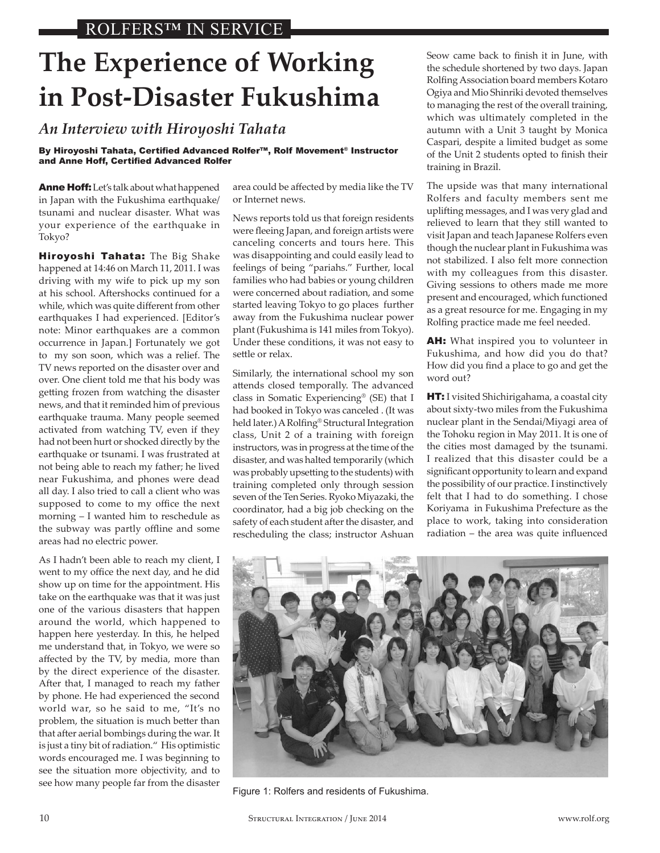## **The Experience of Working in Post-Disaster Fukushima**

*An Interview with Hiroyoshi Tahata*

By Hiroyoshi Tahata, Certified Advanced Rolfer™, Rolf Movement® Instructor and Anne Hoff, Certified Advanced Rolfer

Anne Hoff: Let's talk about what happened in Japan with the Fukushima earthquake/ tsunami and nuclear disaster. What was your experience of the earthquake in Tokyo?

Hiroyoshi Tahata: The Big Shake happened at 14:46 on March 11, 2011. I was driving with my wife to pick up my son at his school. Aftershocks continued for a while, which was quite different from other earthquakes I had experienced. [Editor's note: Minor earthquakes are a common occurrence in Japan.] Fortunately we got to my son soon, which was a relief. The TV news reported on the disaster over and over. One client told me that his body was getting frozen from watching the disaster news, and that it reminded him of previous earthquake trauma. Many people seemed activated from watching TV, even if they had not been hurt or shocked directly by the earthquake or tsunami. I was frustrated at not being able to reach my father; he lived near Fukushima, and phones were dead all day. I also tried to call a client who was supposed to come to my office the next morning – I wanted him to reschedule as the subway was partly offline and some areas had no electric power.

As I hadn't been able to reach my client, I went to my office the next day, and he did show up on time for the appointment. His take on the earthquake was that it was just one of the various disasters that happen around the world, which happened to happen here yesterday. In this, he helped me understand that, in Tokyo, we were so affected by the TV, by media, more than by the direct experience of the disaster. After that, I managed to reach my father by phone. He had experienced the second world war, so he said to me, "It's no problem, the situation is much better than that after aerial bombings during the war. It is just a tiny bit of radiation." His optimistic words encouraged me. I was beginning to see the situation more objectivity, and to see how many people far from the disaster

area could be affected by media like the TV or Internet news.

News reports told us that foreign residents were fleeing Japan, and foreign artists were canceling concerts and tours here. This was disappointing and could easily lead to feelings of being "pariahs." Further, local families who had babies or young children were concerned about radiation, and some started leaving Tokyo to go places further away from the Fukushima nuclear power plant (Fukushima is 141 miles from Tokyo). Under these conditions, it was not easy to settle or relax.

Similarly, the international school my son attends closed temporally. The advanced class in Somatic Experiencing® (SE) that I had booked in Tokyo was canceled . (It was held later.) A Rolfing® Structural Integration class, Unit 2 of a training with foreign instructors, was in progress at the time of the disaster, and was halted temporarily (which was probably upsetting to the students) with training completed only through session seven of the Ten Series. Ryoko Miyazaki, the coordinator, had a big job checking on the safety of each student after the disaster, and rescheduling the class; instructor Ashuan

Seow came back to finish it in June, with the schedule shortened by two days. Japan RolfingAssociation board members Kotaro Ogiya and Mio Shinriki devoted themselves to managing the rest of the overall training, which was ultimately completed in the autumn with a Unit 3 taught by Monica Caspari, despite a limited budget as some of the Unit 2 students opted to finish their training in Brazil.

The upside was that many international Rolfers and faculty members sent me uplifting messages, and I was very glad and relieved to learn that they still wanted to visit Japan and teach Japanese Rolfers even though the nuclear plant in Fukushima was not stabilized. I also felt more connection with my colleagues from this disaster. Giving sessions to others made me more present and encouraged, which functioned as a great resource for me. Engaging in my Rolfing practice made me feel needed.

AH: What inspired you to volunteer in Fukushima, and how did you do that? How did you find a place to go and get the word out?

**HT:** I visited Shichirigahama, a coastal city about sixty-two miles from the Fukushima nuclear plant in the Sendai/Miyagi area of the Tohoku region in May 2011. It is one of the cities most damaged by the tsunami. I realized that this disaster could be a significant opportunity to learn and expand the possibility of our practice. I instinctively felt that I had to do something. I chose Koriyama in Fukushima Prefecture as the place to work, taking into consideration radiation – the area was quite influenced



Figure 1: Rolfers and residents of Fukushima.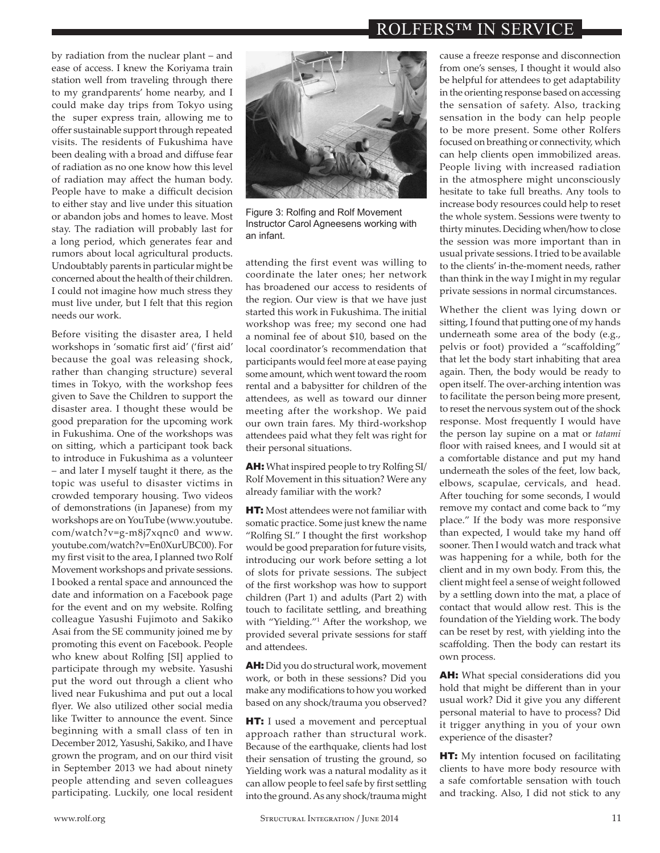## ROLFERS™ IN SERVICE

by radiation from the nuclear plant – and ease of access. I knew the Koriyama train station well from traveling through there to my grandparents' home nearby, and I could make day trips from Tokyo using the super express train, allowing me to offer sustainable support through repeated visits. The residents of Fukushima have been dealing with a broad and diffuse fear of radiation as no one know how this level of radiation may affect the human body. People have to make a difficult decision to either stay and live under this situation or abandon jobs and homes to leave. Most stay. The radiation will probably last for a long period, which generates fear and rumors about local agricultural products. Undoubtably parents in particular might be concerned about the health of their children. I could not imagine how much stress they must live under, but I felt that this region needs our work.

Before visiting the disaster area, I held workshops in 'somatic first aid' ('first aid' because the goal was releasing shock, rather than changing structure) several times in Tokyo, with the workshop fees given to Save the Children to support the disaster area. I thought these would be good preparation for the upcoming work in Fukushima. One of the workshops was on sitting, which a participant took back to introduce in Fukushima as a volunteer – and later I myself taught it there, as the topic was useful to disaster victims in crowded temporary housing. Two videos of demonstrations (in Japanese) from my workshops are on YouTube (www.youtube. com/watch?v=g-m8j7xqnc0 and www. youtube.com/watch?v=En0XurUBC00). For my first visit to the area, I planned two Rolf Movement workshops and private sessions. I booked a rental space and announced the date and information on a Facebook page for the event and on my website. Rolfing colleague Yasushi Fujimoto and Sakiko Asai from the SE community joined me by promoting this event on Facebook. People who knew about Rolfing [SI] applied to participate through my website. Yasushi put the word out through a client who lived near Fukushima and put out a local flyer. We also utilized other social media like Twitter to announce the event. Since beginning with a small class of ten in December 2012, Yasushi, Sakiko, and I have grown the program, and on our third visit in September 2013 we had about ninety people attending and seven colleagues participating. Luckily, one local resident



Figure 3: Rolfing and Rolf Movement Instructor Carol Agneesens working with an infant.

attending the first event was willing to coordinate the later ones; her network has broadened our access to residents of the region. Our view is that we have just started this work in Fukushima. The initial workshop was free; my second one had a nominal fee of about \$10, based on the local coordinator's recommendation that participants would feel more at ease paying some amount, which went toward the room rental and a babysitter for children of the attendees, as well as toward our dinner meeting after the workshop. We paid our own train fares. My third-workshop attendees paid what they felt was right for their personal situations.

AH: What inspired people to try Rolfing SI/ Rolf Movement in this situation? Were any already familiar with the work?

**HT:** Most attendees were not familiar with somatic practice. Some just knew the name "Rolfing SI." I thought the first workshop would be good preparation for future visits, introducing our work before setting a lot of slots for private sessions. The subject of the first workshop was how to support children (Part 1) and adults (Part 2) with touch to facilitate settling, and breathing with "Yielding."1 After the workshop, we provided several private sessions for staff and attendees.

AH: Did you do structural work, movement work, or both in these sessions? Did you make any modifications to how you worked based on any shock/trauma you observed?

**HT:** I used a movement and perceptual approach rather than structural work. Because of the earthquake, clients had lost their sensation of trusting the ground, so Yielding work was a natural modality as it can allow people to feel safe by first settling into the ground.As any shock/trauma might

cause a freeze response and disconnection from one's senses, I thought it would also be helpful for attendees to get adaptability in the orienting response based on accessing the sensation of safety. Also, tracking sensation in the body can help people to be more present. Some other Rolfers focused on breathing or connectivity, which can help clients open immobilized areas. People living with increased radiation in the atmosphere might unconsciously hesitate to take full breaths. Any tools to increase body resources could help to reset the whole system. Sessions were twenty to thirty minutes. Deciding when/how to close the session was more important than in usual private sessions. I tried to be available to the clients' in-the-moment needs, rather than think in the way I might in my regular private sessions in normal circumstances.

Whether the client was lying down or sitting, I found that putting one of my hands underneath some area of the body (e.g., pelvis or foot) provided a "scaffolding" that let the body start inhabiting that area again. Then, the body would be ready to open itself. The over-arching intention was to facilitate the person being more present, to reset the nervous system out of the shock response. Most frequently I would have the person lay supine on a mat or *tatami* floor with raised knees, and I would sit at a comfortable distance and put my hand underneath the soles of the feet, low back, elbows, scapulae, cervicals, and head. After touching for some seconds, I would remove my contact and come back to "my place." If the body was more responsive than expected, I would take my hand off sooner. Then I would watch and track what was happening for a while, both for the client and in my own body. From this, the client might feel a sense of weight followed by a settling down into the mat, a place of contact that would allow rest. This is the foundation of the Yielding work. The body can be reset by rest, with yielding into the scaffolding. Then the body can restart its own process.

AH: What special considerations did you hold that might be different than in your usual work? Did it give you any different personal material to have to process? Did it trigger anything in you of your own experience of the disaster?

**HT:** My intention focused on facilitating clients to have more body resource with a safe comfortable sensation with touch and tracking. Also, I did not stick to any